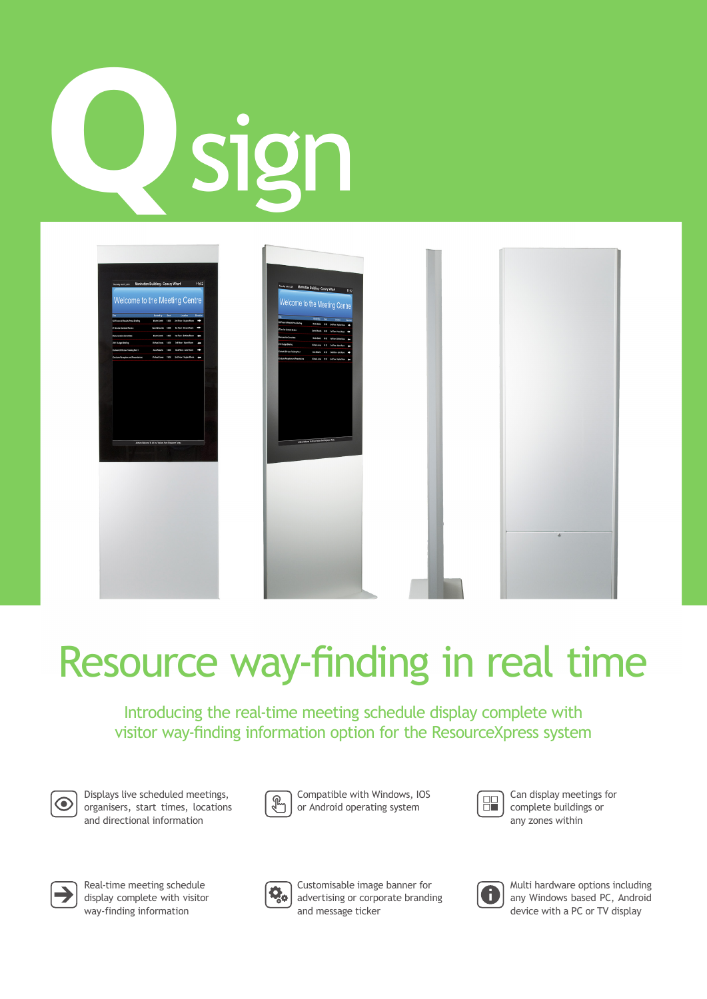

## Resource way-finding in real time

Introducing the real-time meeting schedule display complete with visitor way-finding information option for the ResourceXpress system

⊙

Displays live scheduled meetings, organisers, start times, locations and directional information



Compatible with Windows, IOS or Android operating system



Can display meetings for complete buildings or any zones within



Real-time meeting schedule display complete with visitor way-finding information



Customisable image banner for advertising or corporate branding and message ticker



Multi hardware options including any Windows based PC, Android device with a PC or TV display